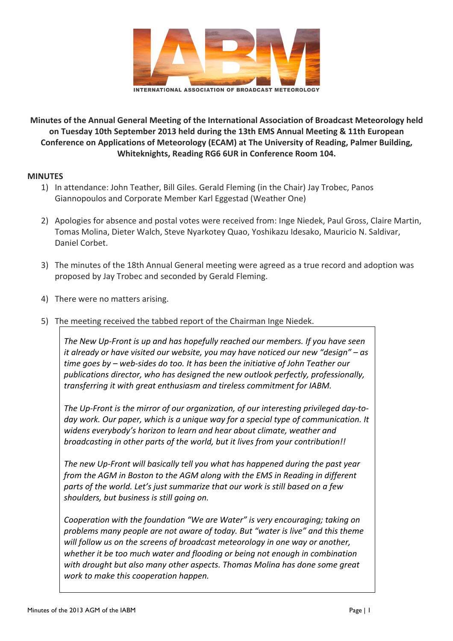

Minutes of the Annual General Meeting of the International Association of Broadcast Meteorology held on Tuesday 10th September 2013 held during the 13th EMS Annual Meeting & 11th European Conference on Applications of Meteorology (ECAM) at The University of Reading, Palmer Building, **Whiteknights, Reading RG6 6UR in Conference Room 104.** 

## **MINUTES**

- 1) In attendance: John Teather, Bill Giles. Gerald Fleming (in the Chair) Jay Trobec, Panos Giannopoulos and Corporate Member Karl Eggestad (Weather One)
- 2) Apologies for absence and postal votes were received from: Inge Niedek, Paul Gross, Claire Martin, Tomas Molina, Dieter Walch, Steve Nyarkotey Quao, Yoshikazu Idesako, Mauricio N. Saldivar, Daniel Corbet.
- 3) The minutes of the 18th Annual General meeting were agreed as a true record and adoption was proposed by Jay Trobec and seconded by Gerald Fleming.
- 4) There were no matters arising.
- 5) The meeting received the tabbed report of the Chairman Inge Niedek.

The New Up-Front is up and has hopefully reached our members. If you have seen *it already or have visited our website, you may have noticed our new "design"* – as time goes by – web-sides do too. It has been the initiative of John Teather our publications director, who has designed the new outlook perfectly, professionally, transferring it with great enthusiasm and tireless commitment for IABM.

The Up-Front is the mirror of our organization, of our interesting privileged day-today work. Our paper, which is a unique way for a special type of communication. It widens everybody's horizon to learn and hear about climate, weather and *broadcasting in other parts of the world, but it lives from your contribution!!* 

The new Up-Front will basically tell you what has happened during the past year *from the AGM in Boston to the AGM along with the EMS in Reading in different* parts of the world. Let's just summarize that our work is still based on a few shoulders, but business is still going on.

*Cooperation with the foundation "We are Water" is very encouraging; taking on* problems many people are not aware of today. But "water is live" and this theme *will follow us on the screens of broadcast meteorology in one way or another,* whether it be too much water and flooding or being not enough in combination with drought but also many other aspects. Thomas Molina has done some great *work to make this cooperation happen.*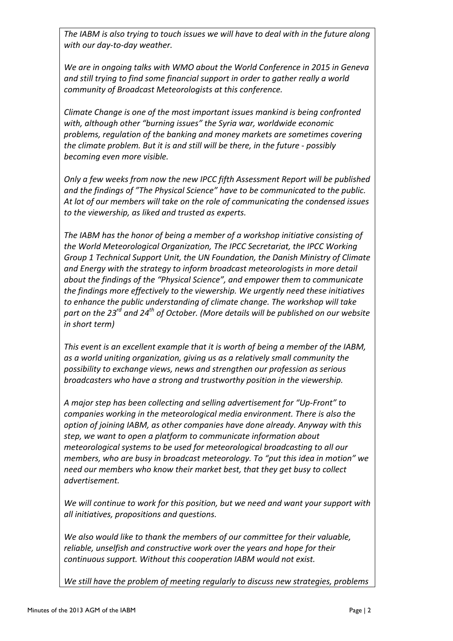The IABM is also trying to touch issues we will have to deal with in the future along with our day-to-day weather.

We are in ongoing talks with WMO about the World Conference in 2015 in Geneva and still trying to find some financial support in order to gather really a world *community of Broadcast Meteorologists at this conference.* 

*Climate Change is one of the most important issues mankind is being confronted* with, although other "burning issues" the Syria war, worldwide economic problems, regulation of the banking and money markets are sometimes covering *the climate problem. But it is and still will be there, in the future - possibly becoming even more visible.*

*Only* a few weeks from now the new IPCC fifth Assessment Report will be published and the findings of "The Physical Science" have to be communicated to the public. At lot of our members will take on the role of communicating the condensed issues to the viewership, as liked and trusted as experts.

The IABM has the honor of being a member of a workshop initiative consisting of the World Meteorological Organization, The IPCC Secretariat, the IPCC Working *Group 1 Technical Support Unit, the UN Foundation, the Danish Ministry of Climate* and Energy with the strategy to inform broadcast meteorologists in more detail *about the findings of the "Physical Science", and empower them to communicate* the findings more effectively to the viewership. We urgently need these initiatives *to* enhance the public understanding of climate change. The workshop will take *part* on the 23<sup>rd</sup> and 24<sup>th</sup> of October. (More details will be published on our website *in short term)*

This event is an excellent example that it is worth of being a member of the IABM, as a world uniting organization, giving us as a relatively small community the possibility to exchange views, news and strengthen our profession as serious *broadcasters* who have a strong and trustworthy position in the viewership.

A major step has been collecting and selling advertisement for "Up-Front" to *companies* working in the meteorological media environment. There is also the *option of joining IABM, as other companies have done already. Anyway with this* step, we want to open a platform to communicate information about *meteorological systems to be used for meteorological broadcasting to all our members, who are busy in broadcast meteorology. To "put this idea in motion"* we need our members who know their market best, that they get busy to collect *advertisement.* 

We will continue to work for this position, but we need and want your support with *all initiatives, propositions and questions.* 

We also would like to thank the members of our committee for their valuable, *reliable, unselfish and constructive work over the years and hope for their continuous support. Without this cooperation IABM would not exist.* 

We still have the problem of meeting regularly to discuss new strategies, problems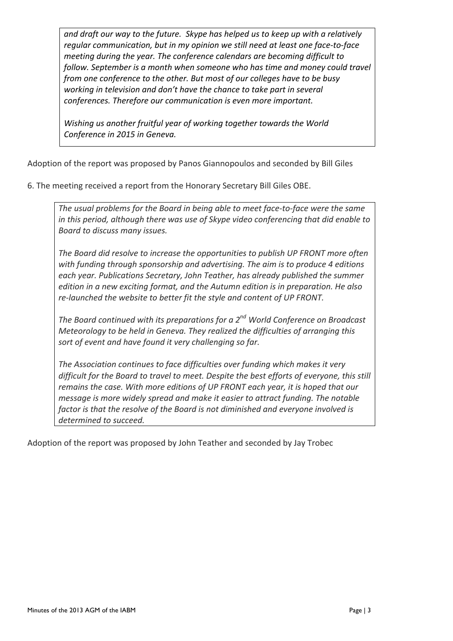and draft our way to the future. Skype has helped us to keep up with a relatively regular communication, but in my opinion we still need at least one face-to-face *meeting during the year. The conference calendars are becoming difficult to follow.* September is a month when someone who has time and money could travel *from* one conference to the other. But most of our colleges have to be busy working in television and don't have the chance to take part in several conferences. Therefore our communication is even more important.

*Wishing us another fruitful year of working together towards the World* Conference in 2015 in Geneva.

Adoption of the report was proposed by Panos Giannopoulos and seconded by Bill Giles

6. The meeting received a report from the Honorary Secretary Bill Giles OBE.

The usual problems for the Board in being able to meet face-to-face were the same *in* this period, although there was use of Skype video conferencing that did enable to *Board to discuss many issues.* 

The Board did resolve to increase the opportunities to publish UP FRONT more often with funding through sponsorship and advertising. The aim is to produce 4 editions each year. Publications Secretary, John Teather, has already published the summer *edition in a new exciting format, and the Autumn edition is in preparation. He also* re-launched the website to better fit the style and content of UP FRONT.

*The Board continued with its preparations for a 2<sup>nd</sup> World Conference on Broadcast Meteorology to be held in Geneva. They realized the difficulties of arranging this* sort of event and have found it very challenging so far.

The Association continues to face difficulties over funding which makes it very *difficult for the Board to travel to meet. Despite the best efforts of everyone, this still remains the case. With more editions of UP FRONT each year, it is hoped that our message is more widely spread and make it easier to attract funding. The notable* factor is that the resolve of the Board is not diminished and everyone involved is determined to succeed.

Adoption of the report was proposed by John Teather and seconded by Jay Trobec